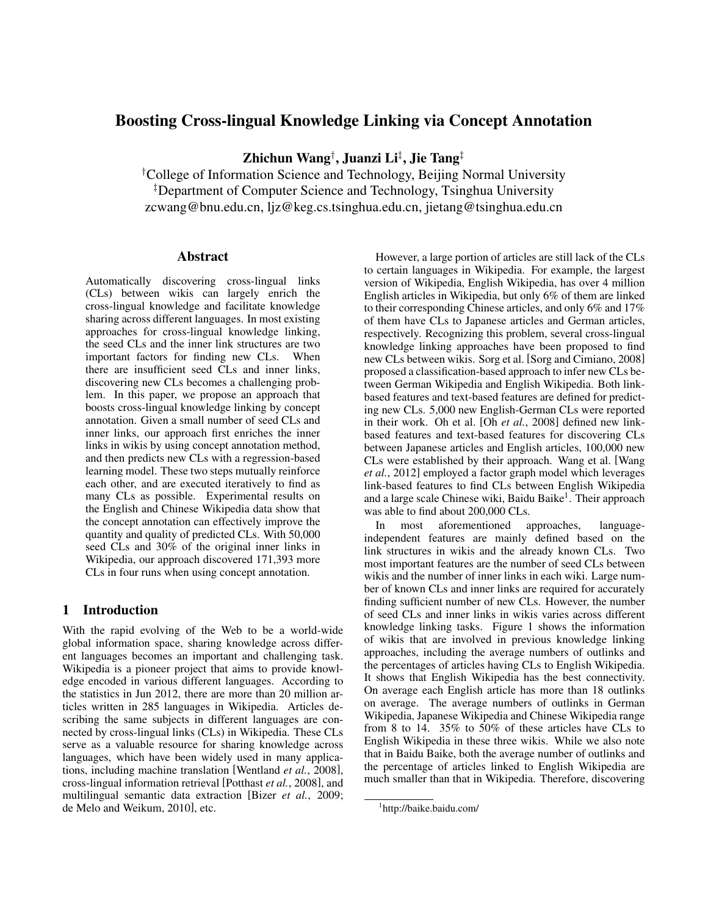# Boosting Cross-lingual Knowledge Linking via Concept Annotation

Zhichun Wang†, Juanzi Li‡, Jie Tang‡

†College of Information Science and Technology, Beijing Normal University ‡Department of Computer Science and Technology, Tsinghua University zcwang@bnu.edu.cn, ljz@keg.cs.tsinghua.edu.cn, jietang@tsinghua.edu.cn

### Abstract

Automatically discovering cross-lingual links (CLs) between wikis can largely enrich the cross-lingual knowledge and facilitate knowledge sharing across different languages. In most existing approaches for cross-lingual knowledge linking, the seed CLs and the inner link structures are two important factors for finding new CLs. When there are insufficient seed CLs and inner links, discovering new CLs becomes a challenging problem. In this paper, we propose an approach that boosts cross-lingual knowledge linking by concept annotation. Given a small number of seed CLs and inner links, our approach first enriches the inner links in wikis by using concept annotation method, and then predicts new CLs with a regression-based learning model. These two steps mutually reinforce each other, and are executed iteratively to find as many CLs as possible. Experimental results on the English and Chinese Wikipedia data show that the concept annotation can effectively improve the quantity and quality of predicted CLs. With 50,000 seed CLs and 30% of the original inner links in Wikipedia, our approach discovered 171,393 more CLs in four runs when using concept annotation.

# 1 Introduction

With the rapid evolving of the Web to be a world-wide global information space, sharing knowledge across different languages becomes an important and challenging task. Wikipedia is a pioneer project that aims to provide knowledge encoded in various different languages. According to the statistics in Jun 2012, there are more than 20 million articles written in 285 languages in Wikipedia. Articles describing the same subjects in different languages are connected by cross-lingual links (CLs) in Wikipedia. These CLs serve as a valuable resource for sharing knowledge across languages, which have been widely used in many applications, including machine translation [Wentland *et al.*, 2008], cross-lingual information retrieval [Potthast *et al.*, 2008], and multilingual semantic data extraction [Bizer *et al.*, 2009; de Melo and Weikum, 2010], etc.

However, a large portion of articles are still lack of the CLs to certain languages in Wikipedia. For example, the largest version of Wikipedia, English Wikipedia, has over 4 million English articles in Wikipedia, but only 6% of them are linked to their corresponding Chinese articles, and only 6% and 17% of them have CLs to Japanese articles and German articles, respectively. Recognizing this problem, several cross-lingual knowledge linking approaches have been proposed to find new CLs between wikis. Sorg et al. [Sorg and Cimiano, 2008] proposed a classification-based approach to infer new CLs between German Wikipedia and English Wikipedia. Both linkbased features and text-based features are defined for predicting new CLs. 5,000 new English-German CLs were reported in their work. Oh et al. [Oh *et al.*, 2008] defined new linkbased features and text-based features for discovering CLs between Japanese articles and English articles, 100,000 new CLs were established by their approach. Wang et al. [Wang *et al.*, 2012] employed a factor graph model which leverages link-based features to find CLs between English Wikipedia and a large scale Chinese wiki, Baidu Baike<sup>1</sup>. Their approach was able to find about 200,000 CLs.

In most aforementioned approaches, languageindependent features are mainly defined based on the link structures in wikis and the already known CLs. Two most important features are the number of seed CLs between wikis and the number of inner links in each wiki. Large number of known CLs and inner links are required for accurately finding sufficient number of new CLs. However, the number of seed CLs and inner links in wikis varies across different knowledge linking tasks. Figure 1 shows the information of wikis that are involved in previous knowledge linking approaches, including the average numbers of outlinks and the percentages of articles having CLs to English Wikipedia. It shows that English Wikipedia has the best connectivity. On average each English article has more than 18 outlinks on average. The average numbers of outlinks in German Wikipedia, Japanese Wikipedia and Chinese Wikipedia range from 8 to 14. 35% to 50% of these articles have CLs to English Wikipedia in these three wikis. While we also note that in Baidu Baike, both the average number of outlinks and the percentage of articles linked to English Wikipedia are much smaller than that in Wikipedia. Therefore, discovering

<sup>1</sup> http://baike.baidu.com/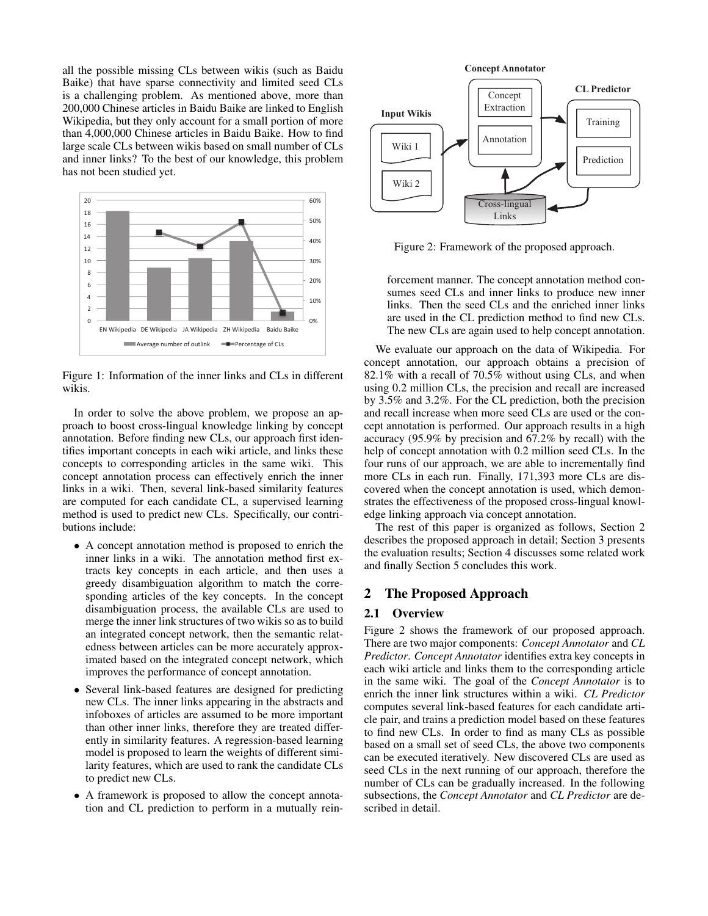all the possible missing CLs between wikis (such as Baidu Baike) that have sparse connectivity and limited seed CLs is a challenging problem. As mentioned above, more than 200,000 Chinese articles in Baidu Baike are linked to English Wikipedia, but they only account for a small portion of more than 4,000,000 Chinese articles in Baidu Baike. How to find large scale CLs between wikis based on small number of CLs and inner links? To the best of our knowledge, this problem has not been studied yet.



Figure 1: Information of the inner links and CLs in different wikis.

In order to solve the above problem, we propose an approach to boost cross-lingual knowledge linking by concept annotation. Before finding new CLs, our approach first identifies important concepts in each wiki article, and links these concepts to corresponding articles in the same wiki. This concept annotation process can effectively enrich the inner links in a wiki. Then, several link-based similarity features are computed for each candidate CL, a supervised learning method is used to predict new CLs. Specifically, our contributions include:

- A concept annotation method is proposed to enrich the inner links in a wiki. The annotation method first extracts key concepts in each article, and then uses a greedy disambiguation algorithm to match the corresponding articles of the key concepts. In the concept disambiguation process, the available CLs are used to merge the inner link structures of two wikis so as to build an integrated concept network, then the semantic relatedness between articles can be more accurately approximated based on the integrated concept network, which improves the performance of concept annotation.
- Several link-based features are designed for predicting new CLs. The inner links appearing in the abstracts and infoboxes of articles are assumed to be more important than other inner links, therefore they are treated differently in similarity features. A regression-based learning model is proposed to learn the weights of different similarity features, which are used to rank the candidate CLs to predict new CLs.
- A framework is proposed to allow the concept annota-



Figure 2: Framework of the proposed approach.

forcement manner. The concept annotation method consumes seed CLs and inner links to produce new inner links. Then the seed CLs and the enriched inner links are used in the CL prediction method to find new CLs. The new CLs are again used to help concept annotation.

We evaluate our approach on the data of Wikipedia. For concept annotation, our approach obtains a precision of 82.1% with a recall of 70.5% without using CLs, and when using 0.2 million CLs, the precision and recall are increased by 3.5% and 3.2%. For the CL prediction, both the precision and recall increase when more seed CLs are used or the concept annotation is performed. Our approach results in a high accuracy (95.9% by precision and 67.2% by recall) with the help of concept annotation with 0.2 million seed CLs. In the four runs of our approach, we are able to incrementally find more CLs in each run. Finally, 171,393 more CLs are discovered when the concept annotation is used, which demonstrates the effectiveness of the proposed cross-lingual knowledge linking approach via concept annotation.

The rest of this paper is organized as follows, Section 2 describes the proposed approach in detail; Section 3 presents the evaluation results; Section 4 discusses some related work and finally Section 5 concludes this work.

# 2 The Proposed Approach

### 2.1 Overview

Figure 2 shows the framework of our proposed approach. There are two major components: *Concept Annotator* and *CL Predictor*. *Concept Annotator* identifies extra key concepts in each wiki article and links them to the corresponding article in the same wiki. The goal of the *Concept Annotator* is to enrich the inner link structures within a wiki. *CL Predictor* computes several link-based features for each candidate article pair, and trains a prediction model based on these features to find new CLs. In order to find as many CLs as possible based on a small set of seed CLs, the above two components can be executed iteratively. New discovered CLs are used as seed CLs in the next running of our approach, therefore the number of CLs can be gradually increased. In the following subsections, the *Concept Annotator* and *CL Predictor* are described in detail.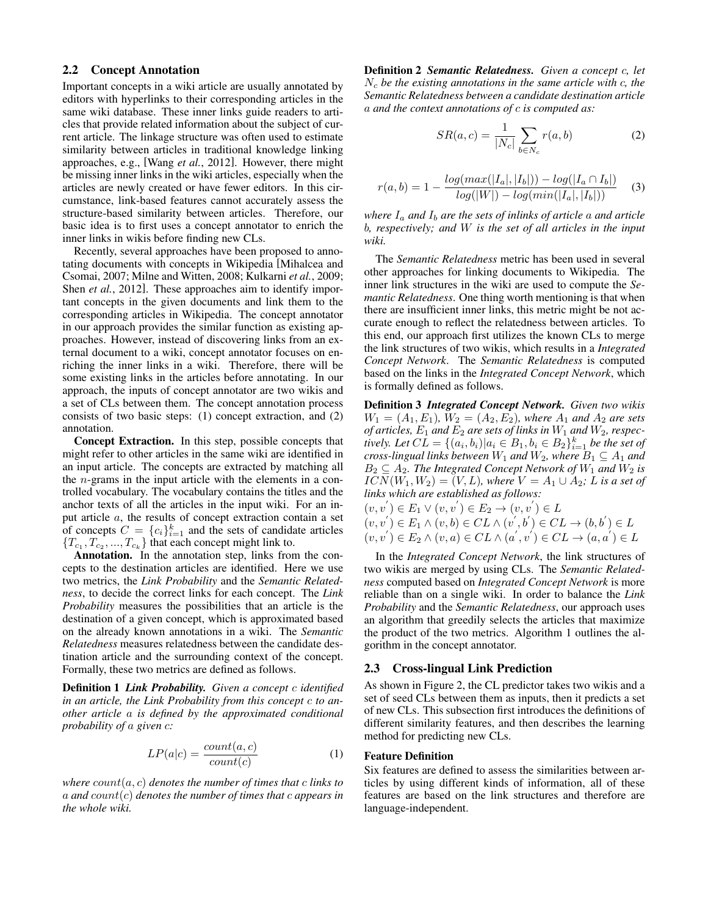#### 2.2 Concept Annotation

Important concepts in a wiki article are usually annotated by editors with hyperlinks to their corresponding articles in the same wiki database. These inner links guide readers to articles that provide related information about the subject of current article. The linkage structure was often used to estimate similarity between articles in traditional knowledge linking approaches, e.g., [Wang *et al.*, 2012]. However, there might be missing inner links in the wiki articles, especially when the articles are newly created or have fewer editors. In this circumstance, link-based features cannot accurately assess the structure-based similarity between articles. Therefore, our basic idea is to first uses a concept annotator to enrich the inner links in wikis before finding new CLs.

Recently, several approaches have been proposed to annotating documents with concepts in Wikipedia [Mihalcea and Csomai, 2007; Milne and Witten, 2008; Kulkarni *et al.*, 2009; Shen *et al.*, 2012]. These approaches aim to identify important concepts in the given documents and link them to the corresponding articles in Wikipedia. The concept annotator in our approach provides the similar function as existing approaches. However, instead of discovering links from an external document to a wiki, concept annotator focuses on enriching the inner links in a wiki. Therefore, there will be some existing links in the articles before annotating. In our approach, the inputs of concept annotator are two wikis and a set of CLs between them. The concept annotation process consists of two basic steps: (1) concept extraction, and (2) annotation.

Concept Extraction. In this step, possible concepts that might refer to other articles in the same wiki are identified in an input article. The concepts are extracted by matching all the n-grams in the input article with the elements in a controlled vocabulary. The vocabulary contains the titles and the anchor texts of all the articles in the input wiki. For an input article a, the results of concept extraction contain a set of concepts  $C = \{c_i\}_{i=1}^k$  and the sets of candidate articles  ${T_{c_1}, T_{c_2}, ..., T_{c_k}}$  that each concept might link to.

Annotation. In the annotation step, links from the concepts to the destination articles are identified. Here we use two metrics, the *Link Probability* and the *Semantic Relatedness*, to decide the correct links for each concept. The *Link Probability* measures the possibilities that an article is the destination of a given concept, which is approximated based on the already known annotations in a wiki. The *Semantic Relatedness* measures relatedness between the candidate destination article and the surrounding context of the concept. Formally, these two metrics are defined as follows.

Definition 1 *Link Probability. Given a concept* c *identified in an article, the Link Probability from this concept* c *to another article* a *is defined by the approximated conditional probability of* a *given* c*:*

$$
LP(a|c) = \frac{count(a,c)}{count(c)}\tag{1}
$$

*where*  $count(a, c)$  *denotes the number of times that*  $c$  *links to* a *and* count(c) *denotes the number of times that* c *appears in the whole wiki.*

Definition 2 *Semantic Relatedness. Given a concept* c*, let* N<sup>c</sup> *be the existing annotations in the same article with* c*, the Semantic Relatedness between a candidate destination article* a *and the context annotations of* c *is computed as:*

$$
SR(a, c) = \frac{1}{|N_c|} \sum_{b \in N_c} r(a, b)
$$
 (2)

$$
r(a,b) = 1 - \frac{log(max(|I_a|, |I_b|)) - log(|I_a \cap I_b|)}{log(|W|) - log(min(|I_a|, |I_b|))}
$$
(3)

*where*  $I_a$  *and*  $I_b$  *are the sets of inlinks of article a and article* b*, respectively; and* W *is the set of all articles in the input wiki.*

The *Semantic Relatedness* metric has been used in several other approaches for linking documents to Wikipedia. The inner link structures in the wiki are used to compute the *Semantic Relatedness*. One thing worth mentioning is that when there are insufficient inner links, this metric might be not accurate enough to reflect the relatedness between articles. To this end, our approach first utilizes the known CLs to merge the link structures of two wikis, which results in a *Integrated Concept Network*. The *Semantic Relatedness* is computed based on the links in the *Integrated Concept Network*, which is formally defined as follows.

Definition 3 *Integrated Concept Network. Given two wikis*  $W_1 = (A_1, E_1)$ ,  $W_2 = (A_2, E_2)$ , where  $A_1$  and  $A_2$  are sets *of articles,*  $E_1$  *and*  $E_2$  *are sets of links in*  $W_1$  *and*  $W_2$ *, respectively.* Let  $CL = \{(a_i, b_i) | a_i \in B_1, b_i \in B_2\}_{i=1}^k$  be the set of *cross-lingual links between*  $W_1$  *and*  $W_2$ *, where*  $B_1 \subseteq A_1$  *and*  $B_2 \subseteq A_2$ . The Integrated Concept Network of  $W_1$  and  $W_2$  is  $ICN(W_1, W_2) = (V, L)$ , where  $V = A_1 \cup A_2$ ; L is a set of *links which are established as follows:*

 $(v, v') \in E_1 \vee (v, v') \in E_2 \to (v, v') \in L$  $(v, v') \in E_1 \wedge (v, b) \in CL \wedge (v', b') \in CL \rightarrow (b, b') \in L$  $(v, v^{'}) \in E_2 \land (v, a) \in CL \land (a^{'}, v^{'}) \in CL \rightarrow (a, a^{'}) \in L$ 

In the *Integrated Concept Network*, the link structures of two wikis are merged by using CLs. The *Semantic Relatedness* computed based on *Integrated Concept Network* is more reliable than on a single wiki. In order to balance the *Link Probability* and the *Semantic Relatedness*, our approach uses an algorithm that greedily selects the articles that maximize the product of the two metrics. Algorithm 1 outlines the algorithm in the concept annotator.

#### 2.3 Cross-lingual Link Prediction

As shown in Figure 2, the CL predictor takes two wikis and a set of seed CLs between them as inputs, then it predicts a set of new CLs. This subsection first introduces the definitions of different similarity features, and then describes the learning method for predicting new CLs.

#### Feature Definition

Six features are defined to assess the similarities between articles by using different kinds of information, all of these features are based on the link structures and therefore are language-independent.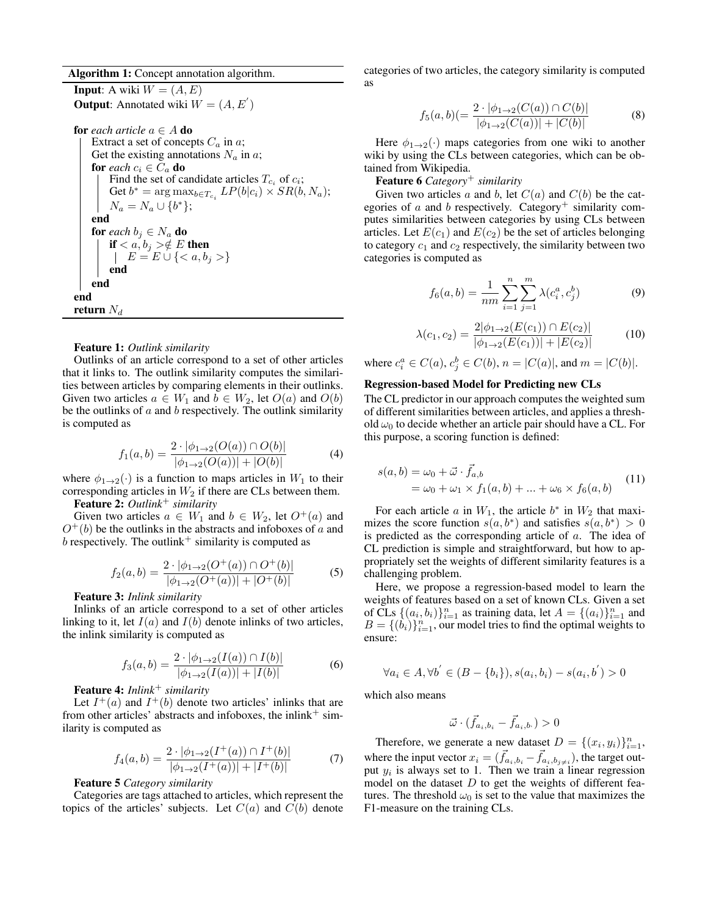#### Algorithm 1: Concept annotation algorithm.

**Input:** A wiki  $W = (A, E)$ **Output:** Annotated wiki  $W = (A, E)$ 

**for** *each article*  $a \in A$  **do** Extract a set of concepts  $C_a$  in a; Get the existing annotations  $N_a$  in a; for *each*  $c_i \in C_a$  do Find the set of candidate articles  $T_{c_i}$  of  $c_i$ ; Get  $b^* = \arg\max_{b \in T_{c_i}} LP(b|c_i) \times SR(b, N_a);$  $N_a = N_a \cup \{b^*\};$ end for *each*  $b_i \in N_a$  do if  $< a, b_j > \notin E$  then  $E = E \cup \{\}$ end end end return  $N_d$ 

#### Feature 1: *Outlink similarity*

Outlinks of an article correspond to a set of other articles that it links to. The outlink similarity computes the similarities between articles by comparing elements in their outlinks. Given two articles  $a \in W_1$  and  $b \in W_2$ , let  $O(a)$  and  $O(b)$ be the outlinks of  $a$  and  $b$  respectively. The outlink similarity is computed as

$$
f_1(a,b) = \frac{2 \cdot |\phi_{1\to 2}(O(a)) \cap O(b)|}{|\phi_{1\to 2}(O(a))| + |O(b)|} \tag{4}
$$

where  $\phi_{1\rightarrow 2}(\cdot)$  is a function to maps articles in  $W_1$  to their corresponding articles in  $W_2$  if there are CLs between them.

Feature 2: *Outlink*<sup>+</sup> *similarity*

Given two articles  $a \in W_1$  and  $b \in W_2$ , let  $O^+(a)$  and  $O^+(b)$  be the outlinks in the abstracts and infoboxes of a and b respectively. The outlink<sup>+</sup> similarity is computed as

$$
f_2(a,b) = \frac{2 \cdot |\phi_{1\to 2}(O^+(a)) \cap O^+(b)|}{|\phi_{1\to 2}(O^+(a))| + |O^+(b)|}
$$
(5)

#### Feature 3: *Inlink similarity*

Inlinks of an article correspond to a set of other articles linking to it, let  $I(a)$  and  $I(b)$  denote inlinks of two articles, the inlink similarity is computed as

$$
f_3(a,b) = \frac{2 \cdot |\phi_{1\to 2}(I(a)) \cap I(b)|}{|\phi_{1\to 2}(I(a))| + |I(b)|}
$$
(6)

Feature 4: *Inlink*<sup>+</sup> *similarity*

Let  $I^+(a)$  and  $I^+(b)$  denote two articles' inlinks that are from other articles' abstracts and infoboxes, the inlink<sup>+</sup> similarity is computed as

$$
f_4(a,b) = \frac{2 \cdot |\phi_{1\to 2}(I^+(a)) \cap I^+(b)|}{|\phi_{1\to 2}(I^+(a))| + |I^+(b)|}
$$
(7)

#### Feature 5 *Category similarity*

Categories are tags attached to articles, which represent the topics of the articles' subjects. Let  $C(a)$  and  $C(b)$  denote categories of two articles, the category similarity is computed as

$$
f_5(a,b) = \frac{2 \cdot |\phi_{1\to 2}(C(a)) \cap C(b)|}{|\phi_{1\to 2}(C(a))| + |C(b)|}
$$
(8)

Here  $\phi_{1\rightarrow 2}(\cdot)$  maps categories from one wiki to another wiki by using the CLs between categories, which can be obtained from Wikipedia.

Feature 6 *Category*<sup>+</sup> *similarity*

Given two articles a and b, let  $C(a)$  and  $C(b)$  be the categories of a and b respectively. Category<sup>+</sup> similarity computes similarities between categories by using CLs between articles. Let  $E(c_1)$  and  $E(c_2)$  be the set of articles belonging to category  $c_1$  and  $c_2$  respectively, the similarity between two categories is computed as

$$
f_6(a,b) = \frac{1}{nm} \sum_{i=1}^n \sum_{j=1}^m \lambda(c_i^a, c_j^b)
$$
 (9)

$$
\lambda(c_1, c_2) = \frac{2|\phi_{1\to 2}(E(c_1)) \cap E(c_2)|}{|\phi_{1\to 2}(E(c_1))| + |E(c_2)|}
$$
(10)

where  $c_i^a \in C(a)$ ,  $c_j^b \in C(b)$ ,  $n = |C(a)|$ , and  $m = |C(b)|$ .

#### Regression-based Model for Predicting new CLs

The CL predictor in our approach computes the weighted sum of different similarities between articles, and applies a threshold  $\omega_0$  to decide whether an article pair should have a CL. For this purpose, a scoring function is defined:

$$
s(a, b) = \omega_0 + \vec{\omega} \cdot \vec{f}_{a,b}
$$
  
=  $\omega_0 + \omega_1 \times f_1(a, b) + ... + \omega_6 \times f_6(a, b)$  (11)

For each article a in  $W_1$ , the article  $b^*$  in  $W_2$  that maximizes the score function  $s(a, b^*)$  and satisfies  $s(a, b^*) > 0$ is predicted as the corresponding article of  $a$ . The idea of CL prediction is simple and straightforward, but how to appropriately set the weights of different similarity features is a challenging problem.

Here, we propose a regression-based model to learn the weights of features based on a set of known CLs. Given a set of CLs  $\{(a_i, b_i)\}_{i=1}^n$  as training data, let  $A = \{(a_i)\}_{i=1}^n$  and  $B = \{(\hat{b}_i)\}_{i=1}^n$ , our model tries to find the optimal weights to ensure:

$$
\forall a_i \in A, \forall b' \in (B - \{b_i\}), s(a_i, b_i) - s(a_i, b') > 0
$$

which also means

$$
\vec{\omega} \cdot (\vec{f}_{a_i,b_i} - \vec{f}_{a_i,b_i}) > 0
$$

Therefore, we generate a new dataset  $D = \{(x_i, y_i)\}_{i=1}^n$ , where the input vector  $x_i = (\vec{f}_{a_i, b_i} - \vec{f}_{a_i, b_j \neq i})$ , the target output  $y_i$  is always set to 1. Then we train a linear regression model on the dataset  $D$  to get the weights of different features. The threshold  $\omega_0$  is set to the value that maximizes the F1-measure on the training CLs.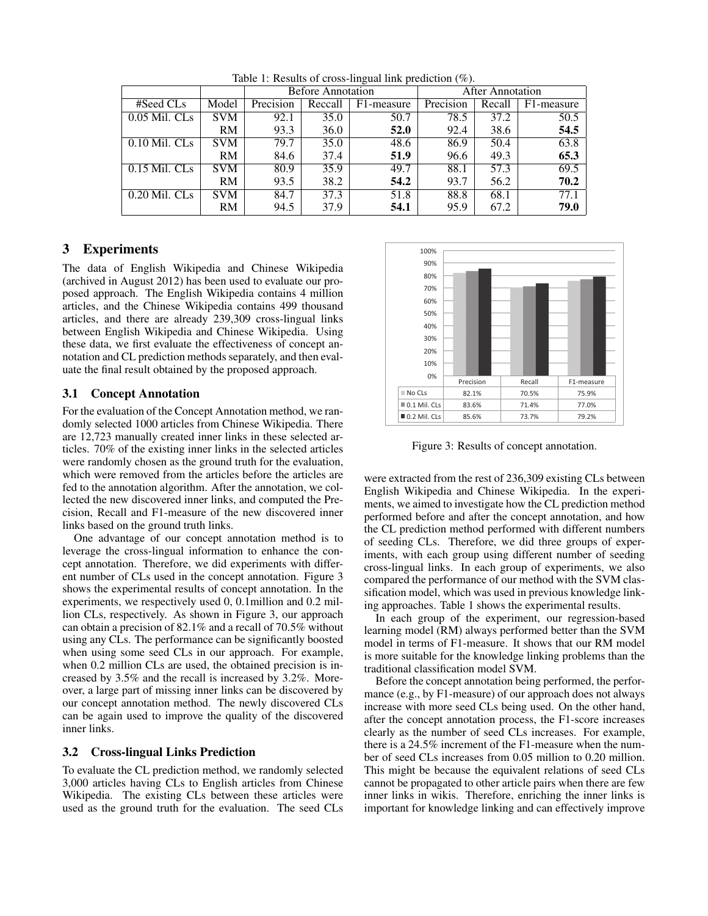|                 |            | <b>Before Annotation</b> |         |            | <b>After Annotation</b> |        |            |
|-----------------|------------|--------------------------|---------|------------|-------------------------|--------|------------|
| #Seed CLs       | Model      | Precision                | Reccall | F1-measure | Precision               | Recall | F1-measure |
| $0.05$ Mil. CLs | <b>SVM</b> | 92.1                     | 35.0    | 50.7       | 78.5                    | 37.2   | 50.5       |
|                 | RM         | 93.3                     | 36.0    | 52.0       | 92.4                    | 38.6   | 54.5       |
| $0.10$ Mil. CLs | <b>SVM</b> | 79.7                     | 35.0    | 48.6       | 86.9                    | 50.4   | 63.8       |
|                 | <b>RM</b>  | 84.6                     | 37.4    | 51.9       | 96.6                    | 49.3   | 65.3       |
| $0.15$ Mil. CLs | <b>SVM</b> | 80.9                     | 35.9    | 49.7       | 88.1                    | 57.3   | 69.5       |
|                 | <b>RM</b>  | 93.5                     | 38.2    | 54.2       | 93.7                    | 56.2   | 70.2       |
| $0.20$ Mil. CLs | <b>SVM</b> | 84.7                     | 37.3    | 51.8       | 88.8                    | 68.1   | 77.1       |
|                 | RM         | 94.5                     | 37.9    | 54.1       | 95.9                    | 67.2   | 79.0       |

Table 1: Results of cross-lingual link prediction (%).

### 3 Experiments

The data of English Wikipedia and Chinese Wikipedia (archived in August 2012) has been used to evaluate our proposed approach. The English Wikipedia contains 4 million articles, and the Chinese Wikipedia contains 499 thousand articles, and there are already 239,309 cross-lingual links between English Wikipedia and Chinese Wikipedia. Using these data, we first evaluate the effectiveness of concept annotation and CL prediction methods separately, and then evaluate the final result obtained by the proposed approach.

### 3.1 Concept Annotation

For the evaluation of the Concept Annotation method, we randomly selected 1000 articles from Chinese Wikipedia. There are 12,723 manually created inner links in these selected articles. 70% of the existing inner links in the selected articles were randomly chosen as the ground truth for the evaluation, which were removed from the articles before the articles are fed to the annotation algorithm. After the annotation, we collected the new discovered inner links, and computed the Precision, Recall and F1-measure of the new discovered inner links based on the ground truth links.

One advantage of our concept annotation method is to leverage the cross-lingual information to enhance the concept annotation. Therefore, we did experiments with different number of CLs used in the concept annotation. Figure 3 shows the experimental results of concept annotation. In the experiments, we respectively used 0, 0.1million and 0.2 million CLs, respectively. As shown in Figure 3, our approach can obtain a precision of 82.1% and a recall of 70.5% without using any CLs. The performance can be significantly boosted when using some seed CLs in our approach. For example, when 0.2 million CLs are used, the obtained precision is increased by 3.5% and the recall is increased by 3.2%. Moreover, a large part of missing inner links can be discovered by our concept annotation method. The newly discovered CLs can be again used to improve the quality of the discovered inner links.

### 3.2 Cross-lingual Links Prediction

To evaluate the CL prediction method, we randomly selected 3,000 articles having CLs to English articles from Chinese Wikipedia. The existing CLs between these articles were used as the ground truth for the evaluation. The seed CLs



Figure 3: Results of concept annotation.

were extracted from the rest of 236,309 existing CLs between English Wikipedia and Chinese Wikipedia. In the experiments, we aimed to investigate how the CL prediction method performed before and after the concept annotation, and how the CL prediction method performed with different numbers of seeding CLs. Therefore, we did three groups of experiments, with each group using different number of seeding cross-lingual links. In each group of experiments, we also compared the performance of our method with the SVM classification model, which was used in previous knowledge linking approaches. Table 1 shows the experimental results.

In each group of the experiment, our regression-based learning model (RM) always performed better than the SVM model in terms of F1-measure. It shows that our RM model is more suitable for the knowledge linking problems than the traditional classification model SVM.

Before the concept annotation being performed, the performance (e.g., by F1-measure) of our approach does not always increase with more seed CLs being used. On the other hand, after the concept annotation process, the F1-score increases clearly as the number of seed CLs increases. For example, there is a 24.5% increment of the F1-measure when the number of seed CLs increases from 0.05 million to 0.20 million. This might be because the equivalent relations of seed CLs cannot be propagated to other article pairs when there are few inner links in wikis. Therefore, enriching the inner links is important for knowledge linking and can effectively improve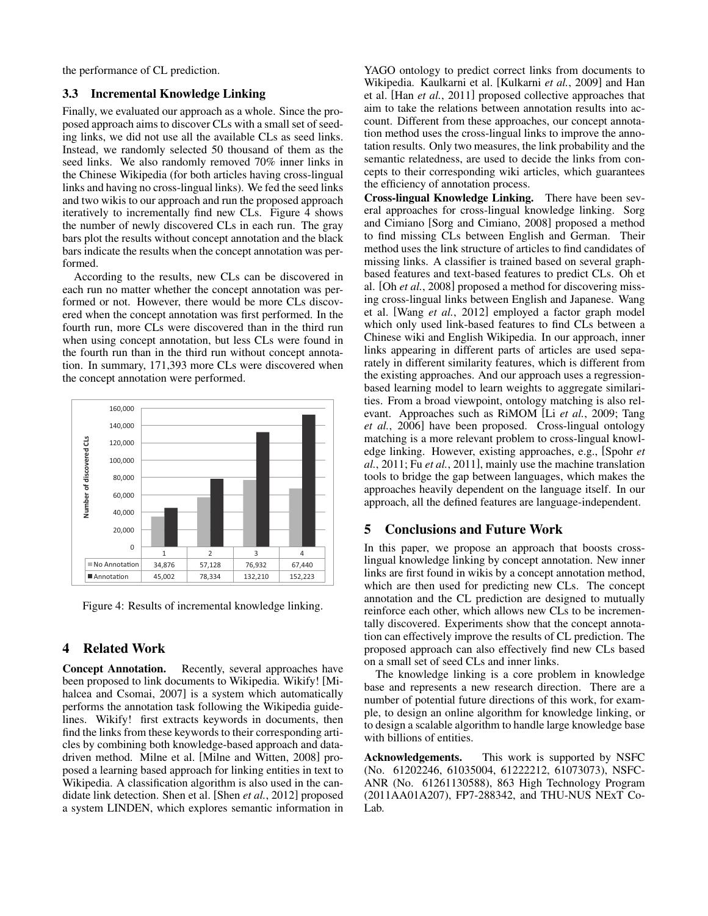the performance of CL prediction.

### 3.3 Incremental Knowledge Linking

Finally, we evaluated our approach as a whole. Since the proposed approach aims to discover CLs with a small set of seeding links, we did not use all the available CLs as seed links. Instead, we randomly selected 50 thousand of them as the seed links. We also randomly removed 70% inner links in the Chinese Wikipedia (for both articles having cross-lingual links and having no cross-lingual links). We fed the seed links and two wikis to our approach and run the proposed approach iteratively to incrementally find new CLs. Figure 4 shows the number of newly discovered CLs in each run. The gray bars plot the results without concept annotation and the black bars indicate the results when the concept annotation was performed.

According to the results, new CLs can be discovered in each run no matter whether the concept annotation was performed or not. However, there would be more CLs discovered when the concept annotation was first performed. In the fourth run, more CLs were discovered than in the third run when using concept annotation, but less CLs were found in the fourth run than in the third run without concept annotation. In summary, 171,393 more CLs were discovered when the concept annotation were performed.



Figure 4: Results of incremental knowledge linking.

# 4 Related Work

Concept Annotation. Recently, several approaches have been proposed to link documents to Wikipedia. Wikify! [Mihalcea and Csomai, 2007] is a system which automatically performs the annotation task following the Wikipedia guidelines. Wikify! first extracts keywords in documents, then find the links from these keywords to their corresponding articles by combining both knowledge-based approach and datadriven method. Milne et al. [Milne and Witten, 2008] proposed a learning based approach for linking entities in text to Wikipedia. A classification algorithm is also used in the candidate link detection. Shen et al. [Shen *et al.*, 2012] proposed a system LINDEN, which explores semantic information in YAGO ontology to predict correct links from documents to Wikipedia. Kaulkarni et al. [Kulkarni *et al.*, 2009] and Han et al. [Han *et al.*, 2011] proposed collective approaches that aim to take the relations between annotation results into account. Different from these approaches, our concept annotation method uses the cross-lingual links to improve the annotation results. Only two measures, the link probability and the semantic relatedness, are used to decide the links from concepts to their corresponding wiki articles, which guarantees the efficiency of annotation process.

Cross-lingual Knowledge Linking. There have been several approaches for cross-lingual knowledge linking. Sorg and Cimiano [Sorg and Cimiano, 2008] proposed a method to find missing CLs between English and German. Their method uses the link structure of articles to find candidates of missing links. A classifier is trained based on several graphbased features and text-based features to predict CLs. Oh et al. [Oh *et al.*, 2008] proposed a method for discovering missing cross-lingual links between English and Japanese. Wang et al. [Wang *et al.*, 2012] employed a factor graph model which only used link-based features to find CLs between a Chinese wiki and English Wikipedia. In our approach, inner links appearing in different parts of articles are used separately in different similarity features, which is different from the existing approaches. And our approach uses a regressionbased learning model to learn weights to aggregate similarities. From a broad viewpoint, ontology matching is also relevant. Approaches such as RiMOM [Li *et al.*, 2009; Tang *et al.*, 2006] have been proposed. Cross-lingual ontology matching is a more relevant problem to cross-lingual knowledge linking. However, existing approaches, e.g., [Spohr *et al.*, 2011; Fu *et al.*, 2011], mainly use the machine translation tools to bridge the gap between languages, which makes the approaches heavily dependent on the language itself. In our approach, all the defined features are language-independent.

### 5 Conclusions and Future Work

In this paper, we propose an approach that boosts crosslingual knowledge linking by concept annotation. New inner links are first found in wikis by a concept annotation method, which are then used for predicting new CLs. The concept annotation and the CL prediction are designed to mutually reinforce each other, which allows new CLs to be incrementally discovered. Experiments show that the concept annotation can effectively improve the results of CL prediction. The proposed approach can also effectively find new CLs based on a small set of seed CLs and inner links.

The knowledge linking is a core problem in knowledge base and represents a new research direction. There are a number of potential future directions of this work, for example, to design an online algorithm for knowledge linking, or to design a scalable algorithm to handle large knowledge base with billions of entities.

Acknowledgements. This work is supported by NSFC (No. 61202246, 61035004, 61222212, 61073073), NSFC-ANR (No. 61261130588), 863 High Technology Program (2011AA01A207), FP7-288342, and THU-NUS NExT Co-Lab.